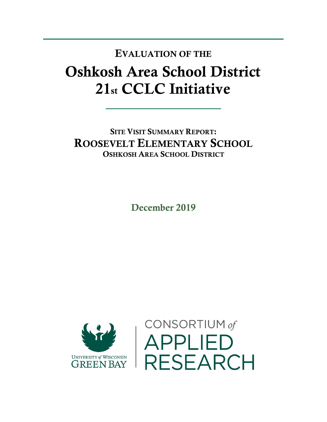## Oshkosh Area School District 21st CCLC Initiative EVALUATION OF THE

SITE VISIT SUMMARY REPORT: ROOSEVELT ELEMENTARY SCHOOL OSHKOSH AREA SCHOOL DISTRICT

December 2019



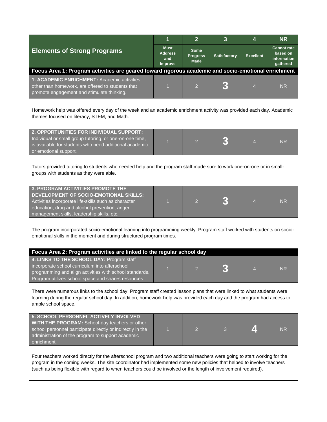|                                                                                                                                                                                                                                                                                                                                                                    | 1                                               | $\overline{2}$                         | $\overline{3}$      | 4                | <b>NR</b>                                                 |  |  |  |
|--------------------------------------------------------------------------------------------------------------------------------------------------------------------------------------------------------------------------------------------------------------------------------------------------------------------------------------------------------------------|-------------------------------------------------|----------------------------------------|---------------------|------------------|-----------------------------------------------------------|--|--|--|
| <b>Elements of Strong Programs</b>                                                                                                                                                                                                                                                                                                                                 | <b>Must</b><br><b>Address</b><br>and<br>Improve | Some<br><b>Progress</b><br><b>Made</b> | <b>Satisfactory</b> | <b>Excellent</b> | <b>Cannot rate</b><br>based on<br>information<br>gathered |  |  |  |
| Focus Area 1: Program activities are geared toward rigorous academic and socio-emotional enrichment                                                                                                                                                                                                                                                                |                                                 |                                        |                     |                  |                                                           |  |  |  |
| 1. ACADEMIC ENRICHMENT: Academic activities,<br>other than homework, are offered to students that<br>promote engagement and stimulate thinking.                                                                                                                                                                                                                    | 1                                               | $\overline{2}$                         |                     | $\overline{4}$   | <b>NR</b>                                                 |  |  |  |
| Homework help was offered every day of the week and an academic enrichment activity was provided each day. Academic<br>themes focused on literacy, STEM, and Math.                                                                                                                                                                                                 |                                                 |                                        |                     |                  |                                                           |  |  |  |
| 2. OPPORTUNITIES FOR INDIVIDUAL SUPPORT:<br>Individual or small group tutoring, or one-on-one time,<br>is available for students who need additional academic<br>or emotional support.                                                                                                                                                                             | $\overline{1}$                                  | $\overline{2}$                         | 3                   | $\overline{4}$   | <b>NR</b>                                                 |  |  |  |
| Tutors provided tutoring to students who needed help and the program staff made sure to work one-on-one or in small-<br>groups with students as they were able.                                                                                                                                                                                                    |                                                 |                                        |                     |                  |                                                           |  |  |  |
| <b>3. PROGRAM ACTIVITIES PROMOTE THE</b><br>DEVELOPMENT OF SOCIO-EMOTIONAL SKILLS:<br>Activities incorporate life-skills such as character<br>education, drug and alcohol prevention, anger<br>management skills, leadership skills, etc.                                                                                                                          | 1                                               | $\overline{2}$                         | 3                   | $\overline{4}$   | <b>NR</b>                                                 |  |  |  |
| The program incorporated socio-emotional learning into programming weekly. Program staff worked with students on socio-<br>emotional skills in the moment and during structured program times.                                                                                                                                                                     |                                                 |                                        |                     |                  |                                                           |  |  |  |
| Focus Area 2: Program activities are linked to the regular school day                                                                                                                                                                                                                                                                                              |                                                 |                                        |                     |                  |                                                           |  |  |  |
| 4. LINKS TO THE SCHOOL DAY: Program staff<br>incorporate school curriculum into afterschool<br>programming and align activities with school standards.<br>Program utilizes school space and shares resources.                                                                                                                                                      | 1                                               | $\overline{c}$                         |                     | $\overline{4}$   | <b>NR</b>                                                 |  |  |  |
| There were numerous links to the school day. Program staff created lesson plans that were linked to what students were<br>learning during the regular school day. In addition, homework help was provided each day and the program had access to<br>ample school space.                                                                                            |                                                 |                                        |                     |                  |                                                           |  |  |  |
| 5. SCHOOL PERSONNEL ACTIVELY INVOLVED<br>WITH THE PROGRAM: School-day teachers or other<br>school personnel participate directly or indirectly in the<br>administration of the program to support academic<br>enrichment.                                                                                                                                          | 1                                               | $\overline{2}$                         | 3                   |                  | <b>NR</b>                                                 |  |  |  |
| Four teachers worked directly for the afterschool program and two additional teachers were going to start working for the<br>program in the coming weeks. The site coordinator had implemented some new policies that helped to involve teachers<br>(such as being flexible with regard to when teachers could be involved or the length of involvement required). |                                                 |                                        |                     |                  |                                                           |  |  |  |